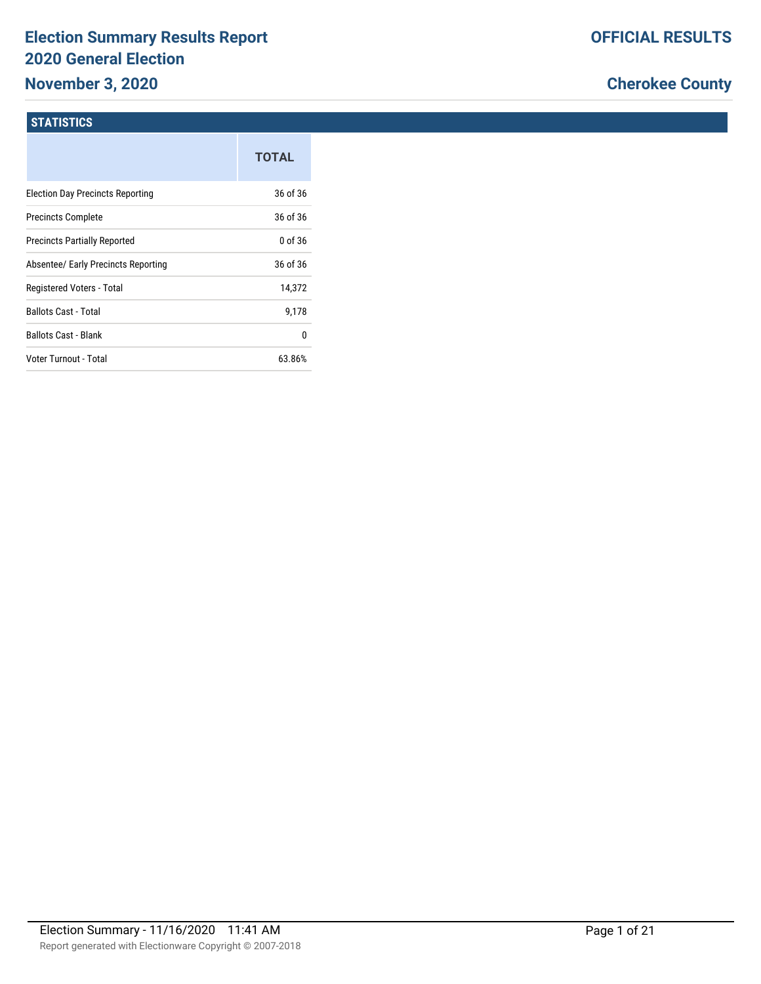# **Election Summary Results Report 2020 General Election**

# **November 3, 2020**

# **Cherokee County**

#### **STATISTICS**

|                                         | <b>TOTAL</b> |
|-----------------------------------------|--------------|
| <b>Election Day Precincts Reporting</b> | 36 of 36     |
| <b>Precincts Complete</b>               | 36 of 36     |
| <b>Precincts Partially Reported</b>     | 0 of 36      |
| Absentee/ Early Precincts Reporting     | 36 of 36     |
| Registered Voters - Total               | 14,372       |
| Ballots Cast - Total                    | 9.178        |
| <b>Ballots Cast - Blank</b>             | 0            |
| Voter Turnout - Total                   | 63.86%       |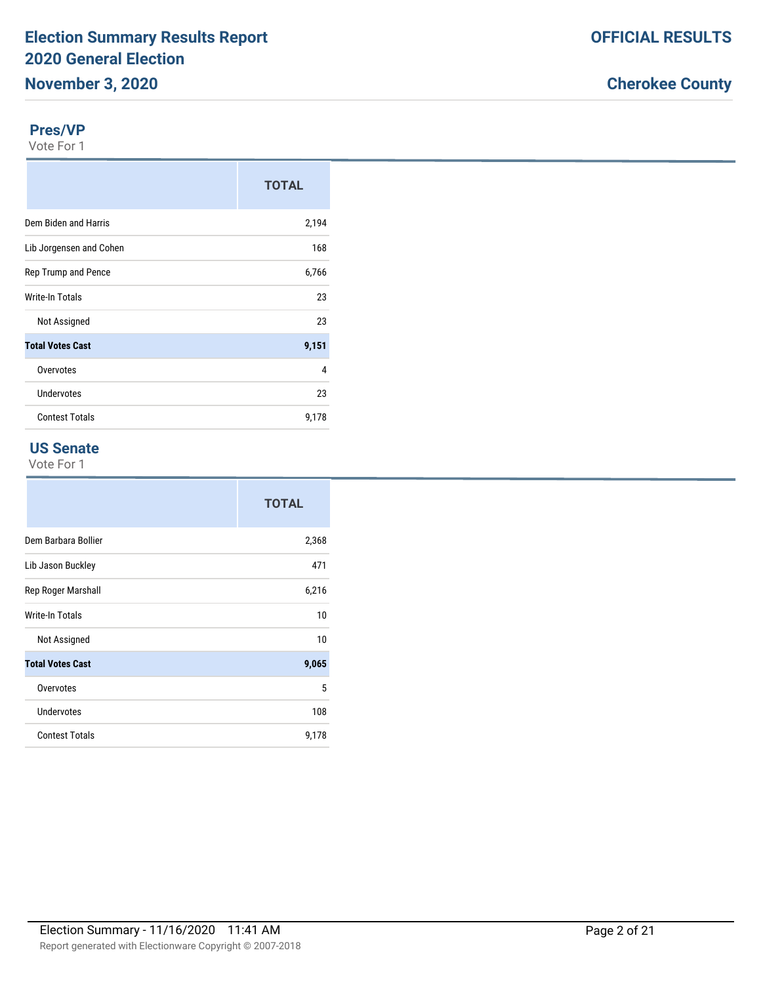#### **Pres/VP**

Vote For 1

|                         | <b>TOTAL</b> |
|-------------------------|--------------|
| Dem Biden and Harris    | 2,194        |
| Lib Jorgensen and Cohen | 168          |
| Rep Trump and Pence     | 6,766        |
| Write-In Totals         | 23           |
| Not Assigned            | 23           |
| <b>Total Votes Cast</b> | 9,151        |
| Overvotes               | 4            |
| Undervotes              | 23           |
| <b>Contest Totals</b>   | 9,178        |

#### **US Senate**

|                         | <b>TOTAL</b> |
|-------------------------|--------------|
| Dem Barbara Bollier     | 2,368        |
| Lib Jason Buckley       | 471          |
| Rep Roger Marshall      | 6,216        |
| <b>Write-In Totals</b>  | 10           |
| Not Assigned            | 10           |
| <b>Total Votes Cast</b> | 9,065        |
| Overvotes               | 5            |
| Undervotes              | 108          |
| <b>Contest Totals</b>   | 9,178        |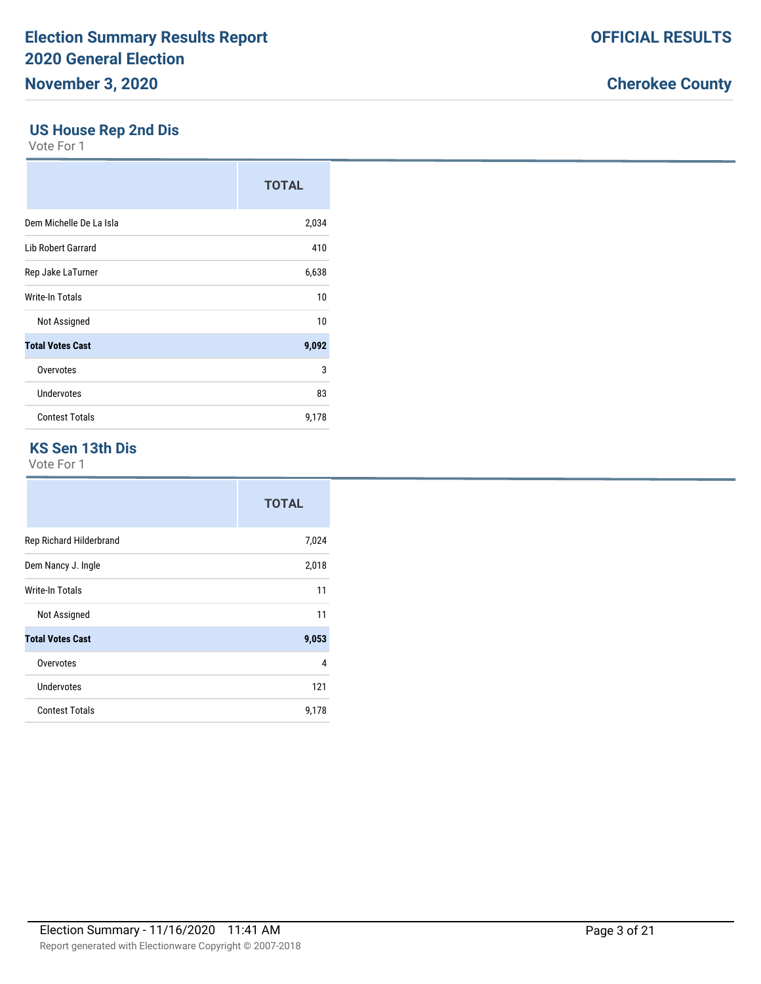#### **US House Rep 2nd Dis**

Vote For 1

|                           | <b>TOTAL</b> |
|---------------------------|--------------|
| Dem Michelle De La Isla   | 2,034        |
| <b>Lib Robert Garrard</b> | 410          |
| Rep Jake LaTurner         | 6,638        |
| Write-In Totals           | 10           |
| Not Assigned              | 10           |
| <b>Total Votes Cast</b>   | 9,092        |
| Overvotes                 | 3            |
| Undervotes                | 83           |
| <b>Contest Totals</b>     | 9,178        |

#### **KS Sen 13th Dis**

|                         | <b>TOTAL</b> |
|-------------------------|--------------|
| Rep Richard Hilderbrand | 7,024        |
| Dem Nancy J. Ingle      | 2,018        |
| Write-In Totals         | 11           |
| Not Assigned            | 11           |
| <b>Total Votes Cast</b> | 9,053        |
| Overvotes               | 4            |
| Undervotes              | 121          |
| <b>Contest Totals</b>   | 9,178        |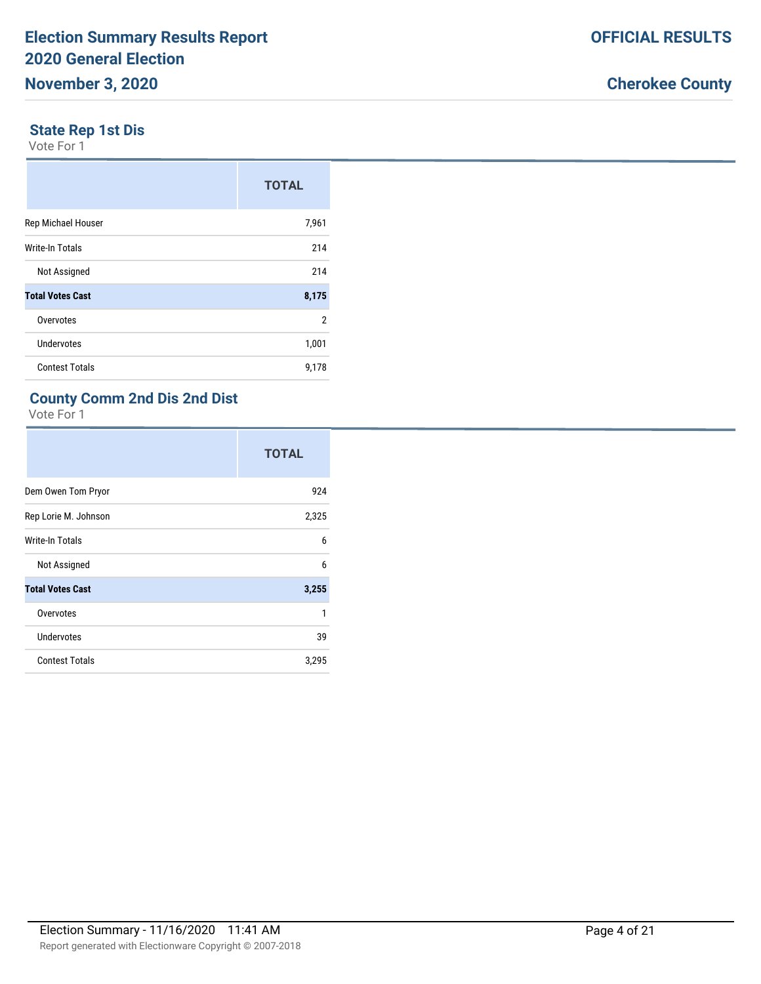#### **State Rep 1st Dis**

Vote For 1

|                         | <b>TOTAL</b> |
|-------------------------|--------------|
| Rep Michael Houser      | 7,961        |
| <b>Write-In Totals</b>  | 214          |
| Not Assigned            | 214          |
| <b>Total Votes Cast</b> | 8,175        |
| Overvotes               | 2            |
| Undervotes              | 1,001        |
| <b>Contest Totals</b>   | 9,178        |

### **County Comm 2nd Dis 2nd Dist**

|                         | <b>TOTAL</b> |
|-------------------------|--------------|
| Dem Owen Tom Pryor      | 924          |
| Rep Lorie M. Johnson    | 2,325        |
| Write-In Totals         | 6            |
| Not Assigned            | 6            |
| <b>Total Votes Cast</b> | 3,255        |
| Overvotes               | 1            |
| <b>Undervotes</b>       | 39           |
| <b>Contest Totals</b>   | 3,295        |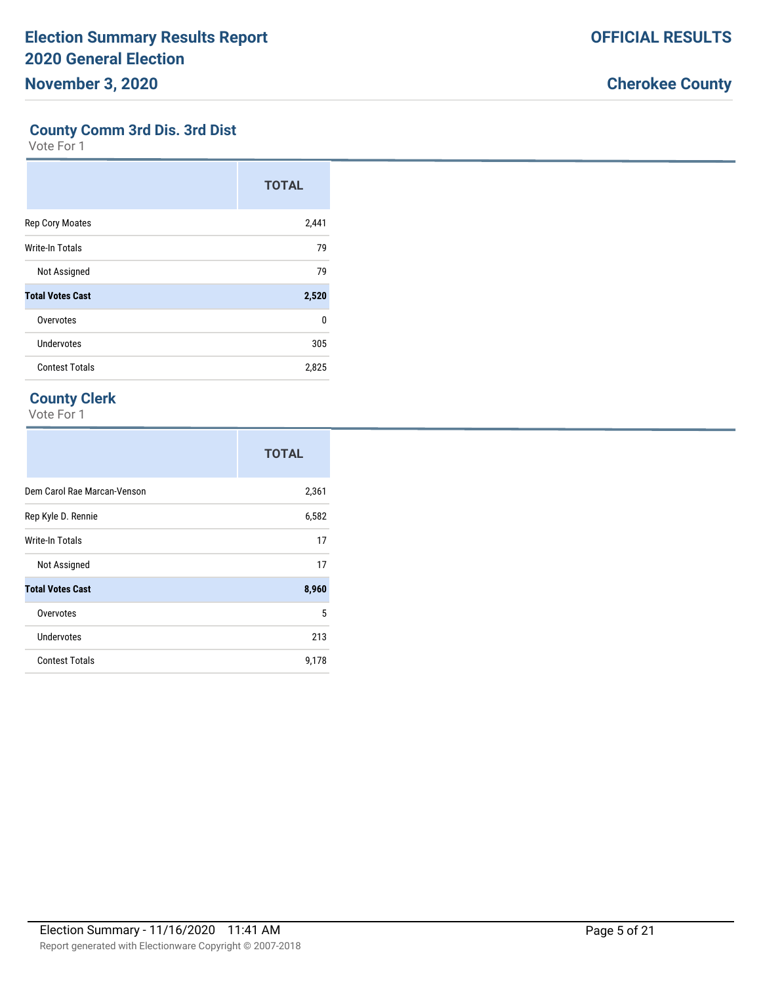#### **County Comm 3rd Dis. 3rd Dist**

Vote For 1

|                         | <b>TOTAL</b> |
|-------------------------|--------------|
| <b>Rep Cory Moates</b>  | 2,441        |
| <b>Write-In Totals</b>  | 79           |
| Not Assigned            | 79           |
| <b>Total Votes Cast</b> | 2,520        |
| Overvotes               | 0            |
| Undervotes              | 305          |
| <b>Contest Totals</b>   | 2,825        |

### **County Clerk**

|                             | <b>TOTAL</b> |
|-----------------------------|--------------|
| Dem Carol Rae Marcan-Venson | 2,361        |
| Rep Kyle D. Rennie          | 6,582        |
| Write-In Totals             | 17           |
| Not Assigned                | 17           |
| <b>Total Votes Cast</b>     | 8,960        |
| Overvotes                   | 5            |
| <b>Undervotes</b>           | 213          |
| <b>Contest Totals</b>       | 9,178        |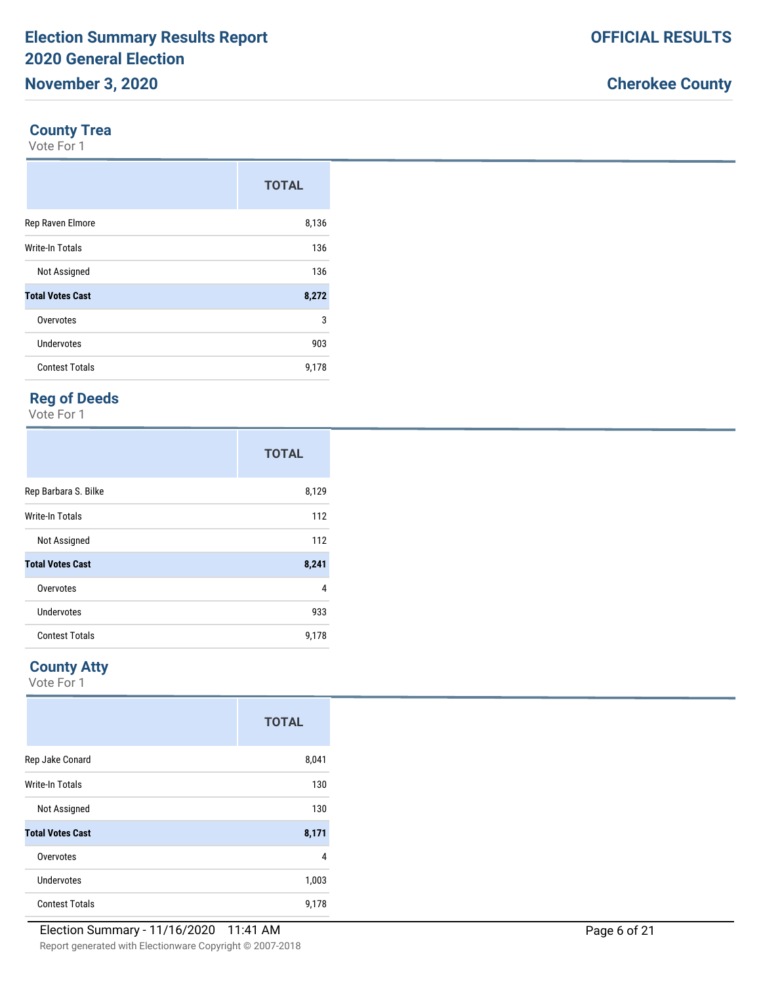#### **County Trea**

Vote For 1

|                         | <b>TOTAL</b> |
|-------------------------|--------------|
| Rep Raven Elmore        | 8,136        |
| <b>Write-In Totals</b>  | 136          |
| Not Assigned            | 136          |
| <b>Total Votes Cast</b> | 8,272        |
| Overvotes               | 3            |
| Undervotes              | 903          |
| <b>Contest Totals</b>   | 9,178        |

### **Reg of Deeds**

Vote For 1

|                         | <b>TOTAL</b> |
|-------------------------|--------------|
| Rep Barbara S. Bilke    | 8,129        |
| <b>Write-In Totals</b>  | 112          |
| Not Assigned            | 112          |
| <b>Total Votes Cast</b> | 8,241        |
| Overvotes               | 4            |
| Undervotes              | 933          |
| <b>Contest Totals</b>   | 9,178        |

### **County Atty**

|                         | <b>TOTAL</b> |
|-------------------------|--------------|
| Rep Jake Conard         | 8,041        |
| Write-In Totals         | 130          |
| Not Assigned            | 130          |
| <b>Total Votes Cast</b> | 8,171        |
| Overvotes               | 4            |
| Undervotes              | 1,003        |
| <b>Contest Totals</b>   | 9,178        |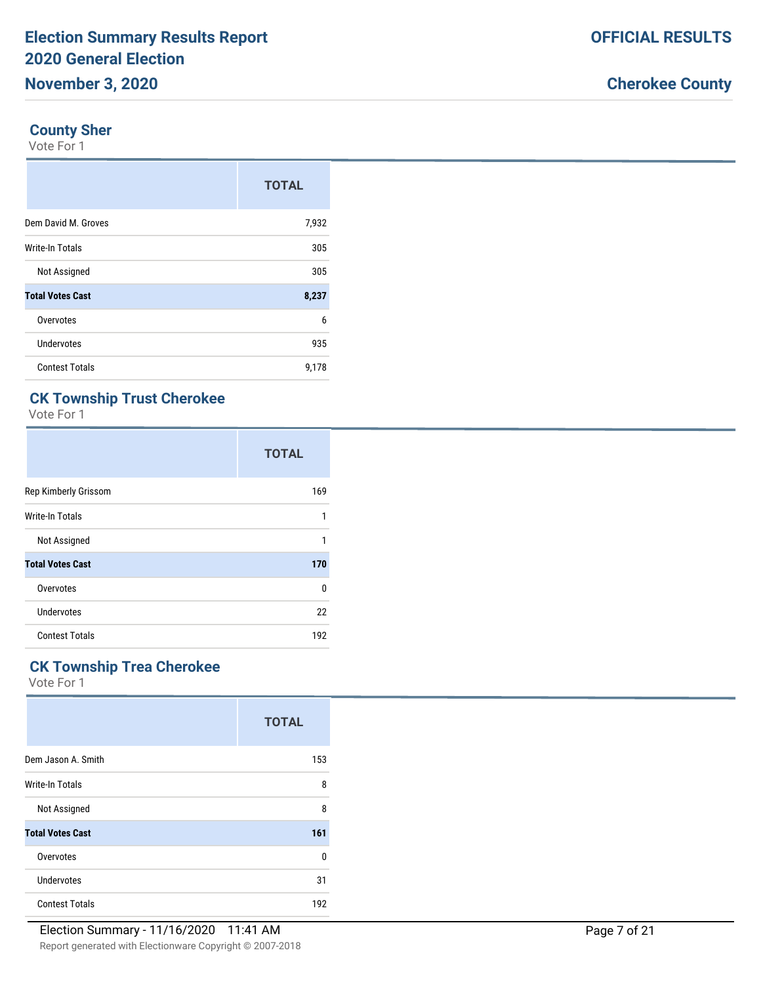#### **County Sher**

Vote For 1

|                         | <b>TOTAL</b> |
|-------------------------|--------------|
| Dem David M. Groves     | 7,932        |
| <b>Write-In Totals</b>  | 305          |
| Not Assigned            | 305          |
| <b>Total Votes Cast</b> | 8,237        |
| Overvotes               | 6            |
| Undervotes              | 935          |
| <b>Contest Totals</b>   | 9,178        |

# **CK Township Trust Cherokee**

Vote For 1

|                         | <b>TOTAL</b> |
|-------------------------|--------------|
| Rep Kimberly Grissom    | 169          |
| Write-In Totals         | $\mathbf{1}$ |
| Not Assigned            | 1            |
| <b>Total Votes Cast</b> | 170          |
| Overvotes               | 0            |
| Undervotes              | 22           |
| <b>Contest Totals</b>   | 192          |

### **CK Township Trea Cherokee**

|                         | <b>TOTAL</b> |
|-------------------------|--------------|
| Dem Jason A. Smith      | 153          |
| Write-In Totals         | 8            |
| Not Assigned            | 8            |
| <b>Total Votes Cast</b> | 161          |
| Overvotes               | 0            |
| Undervotes              | 31           |
| <b>Contest Totals</b>   | 192          |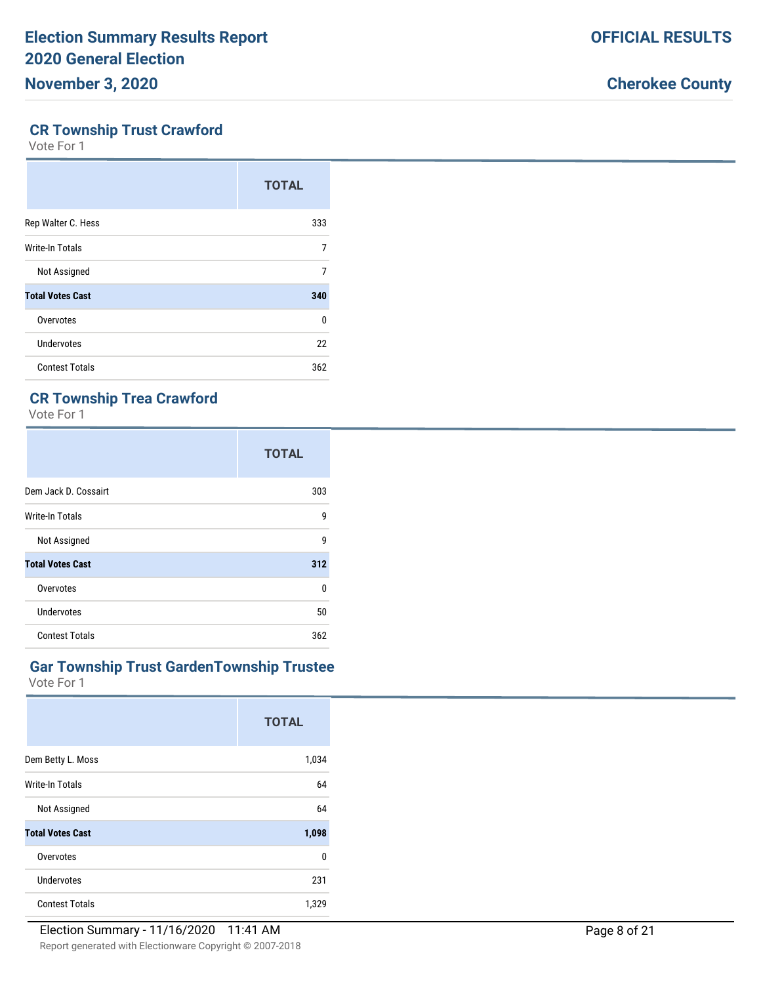#### **CR Township Trust Crawford**

Vote For 1

|                         | <b>TOTAL</b> |
|-------------------------|--------------|
| Rep Walter C. Hess      | 333          |
| Write-In Totals         | 7            |
| Not Assigned            | 7            |
| <b>Total Votes Cast</b> | 340          |
| Overvotes               | 0            |
| Undervotes              | 22           |
| <b>Contest Totals</b>   | 362          |

### **CR Township Trea Crawford**

Vote For 1

|                         | <b>TOTAL</b> |
|-------------------------|--------------|
| Dem Jack D. Cossairt    | 303          |
| Write-In Totals         | 9            |
| Not Assigned            | g            |
| <b>Total Votes Cast</b> | 312          |
| Overvotes               | <sup>0</sup> |
| Undervotes              | 50           |
| <b>Contest Totals</b>   | 362          |

#### **Gar Township Trust GardenTownship Trustee**

|                         | <b>TOTAL</b> |
|-------------------------|--------------|
| Dem Betty L. Moss       | 1,034        |
| Write-In Totals         | 64           |
| Not Assigned            | 64           |
| <b>Total Votes Cast</b> | 1,098        |
| Overvotes               | 0            |
| Undervotes              | 231          |
| <b>Contest Totals</b>   | 1,329        |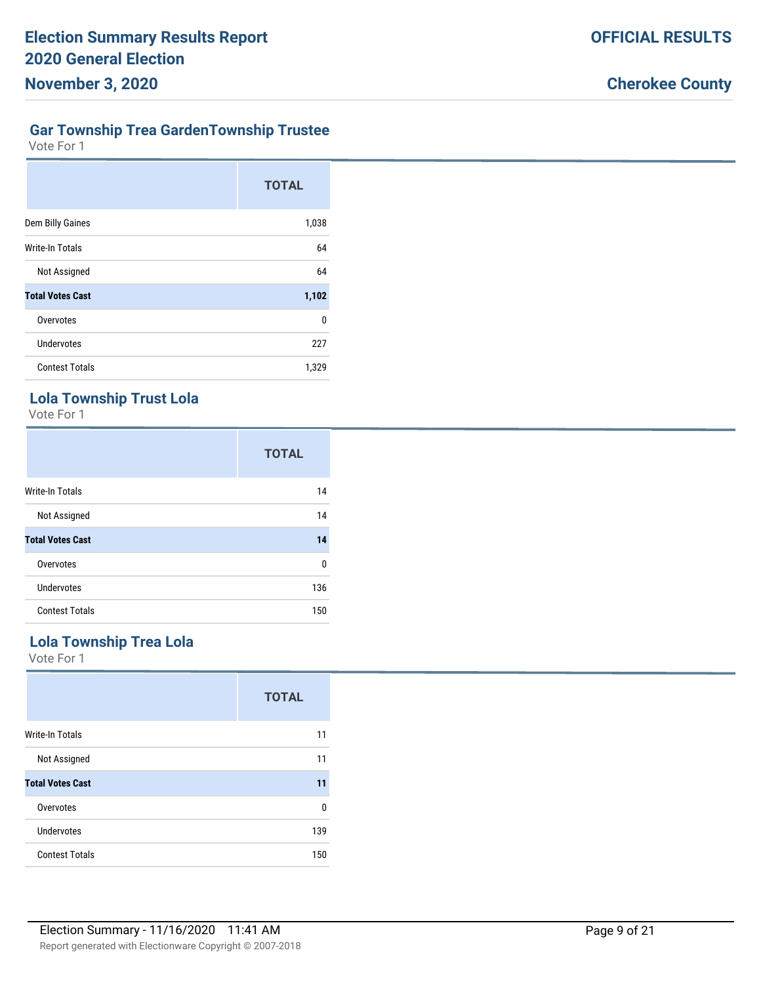# **Gar Township Trea GardenTownship Trustee**

Vote For 1

|                         | <b>TOTAL</b> |
|-------------------------|--------------|
| Dem Billy Gaines        | 1,038        |
| Write-In Totals         | 64           |
| Not Assigned            | 64           |
| <b>Total Votes Cast</b> | 1,102        |
| Overvotes               | 0            |
| <b>Undervotes</b>       | 227          |
| <b>Contest Totals</b>   | 1,329        |

# **Lola Township Trust Lola**

Vote For 1

|                         | <b>TOTAL</b> |
|-------------------------|--------------|
| Write-In Totals         | 14           |
| Not Assigned            | 14           |
| <b>Total Votes Cast</b> | 14           |
| Overvotes               | 0            |
| Undervotes              | 136          |
| <b>Contest Totals</b>   | 150          |

### **Lola Township Trea Lola**

|                         | <b>TOTAL</b> |
|-------------------------|--------------|
| <b>Write-In Totals</b>  | 11           |
| Not Assigned            | 11           |
| <b>Total Votes Cast</b> | 11           |
| Overvotes               | $\Omega$     |
| Undervotes              | 139          |
| <b>Contest Totals</b>   | 150          |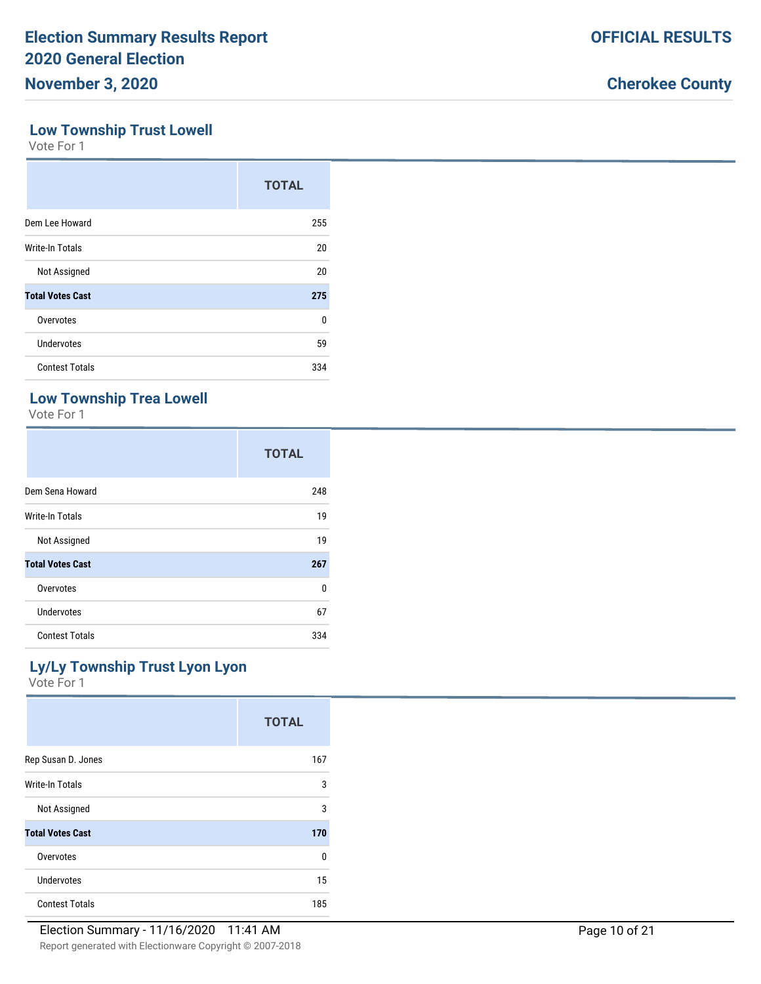#### **Low Township Trust Lowell**

Vote For 1

|                         | <b>TOTAL</b> |
|-------------------------|--------------|
| Dem Lee Howard          | 255          |
| Write-In Totals         | 20           |
| Not Assigned            | 20           |
| <b>Total Votes Cast</b> | 275          |
| Overvotes               | 0            |
| Undervotes              | 59           |
| <b>Contest Totals</b>   | 334          |

### **Low Township Trea Lowell**

Vote For 1

|                         | <b>TOTAL</b> |
|-------------------------|--------------|
| Dem Sena Howard         | 248          |
| Write-In Totals         | 19           |
| Not Assigned            | 19           |
| <b>Total Votes Cast</b> | 267          |
| Overvotes               | 0            |
| Undervotes              | 67           |
| <b>Contest Totals</b>   | 334          |

### **Ly/Ly Township Trust Lyon Lyon**

|                         | <b>TOTAL</b> |
|-------------------------|--------------|
| Rep Susan D. Jones      | 167          |
| Write-In Totals         | 3            |
| Not Assigned            | 3            |
| <b>Total Votes Cast</b> | 170          |
| Overvotes               | 0            |
| Undervotes              | 15           |
| <b>Contest Totals</b>   | 185          |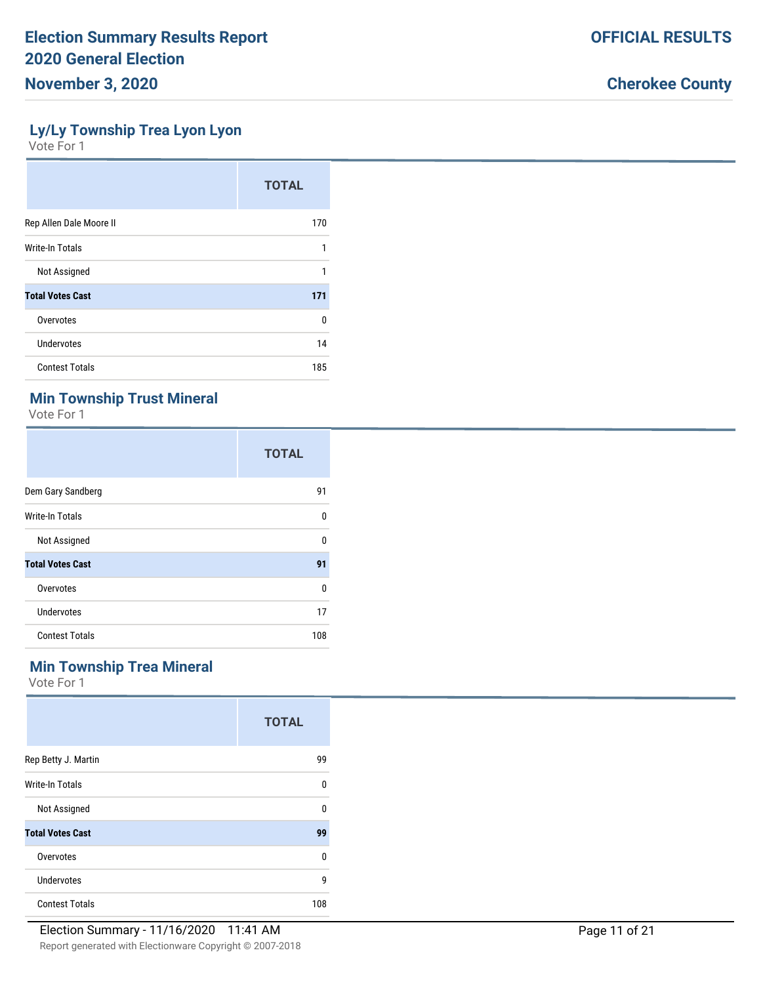#### **Ly/Ly Township Trea Lyon Lyon**

Vote For 1

|                         | <b>TOTAL</b> |
|-------------------------|--------------|
| Rep Allen Dale Moore II | 170          |
| Write-In Totals         | 1            |
| Not Assigned            | 1            |
| <b>Total Votes Cast</b> | 171          |
| Overvotes               | 0            |
| Undervotes              | 14           |
| <b>Contest Totals</b>   | 185          |

### **Min Township Trust Mineral**

Vote For 1

|                         | <b>TOTAL</b> |
|-------------------------|--------------|
| Dem Gary Sandberg       | 91           |
| Write-In Totals         | 0            |
| Not Assigned            | 0            |
| <b>Total Votes Cast</b> | 91           |
| Overvotes               | U            |
| Undervotes              | 17           |
| <b>Contest Totals</b>   | 108          |

### **Min Township Trea Mineral**

|                         | <b>TOTAL</b> |
|-------------------------|--------------|
| Rep Betty J. Martin     | 99           |
| Write-In Totals         | 0            |
| Not Assigned            | 0            |
| <b>Total Votes Cast</b> | 99           |
| Overvotes               | 0            |
| Undervotes              | 9            |
| <b>Contest Totals</b>   | 108          |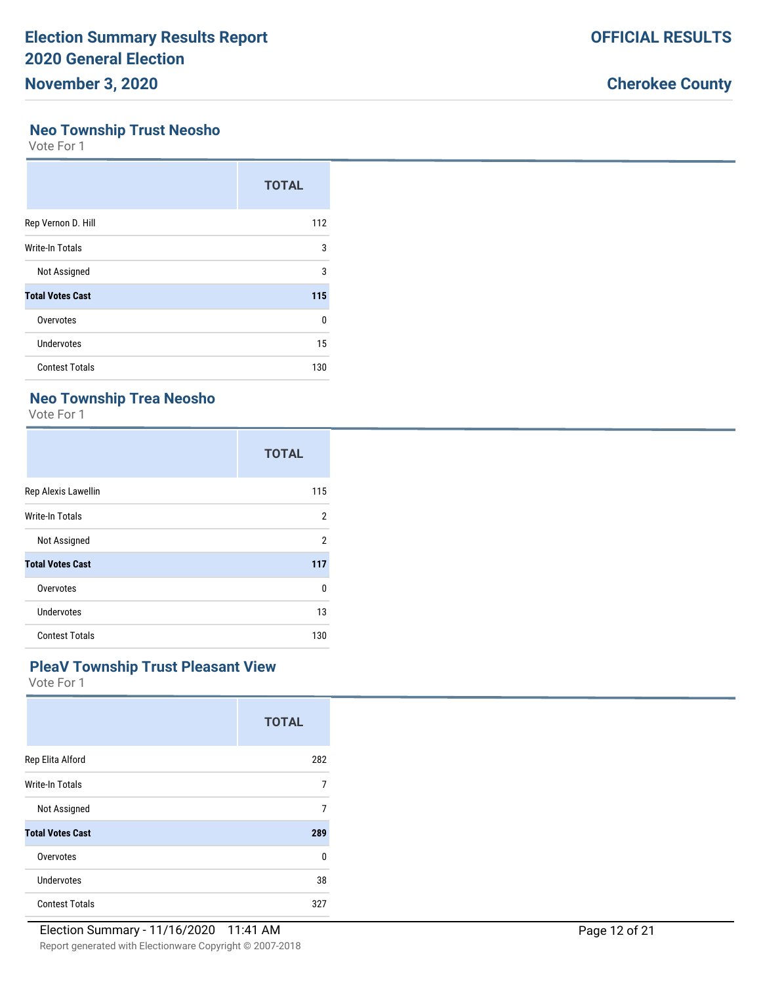#### **Neo Township Trust Neosho**

Vote For 1

|                         | <b>TOTAL</b> |
|-------------------------|--------------|
| Rep Vernon D. Hill      | 112          |
| Write-In Totals         | 3            |
| Not Assigned            | 3            |
| <b>Total Votes Cast</b> | 115          |
| Overvotes               | 0            |
| Undervotes              | 15           |
| <b>Contest Totals</b>   | 130          |

### **Neo Township Trea Neosho**

Vote For 1

|                         | <b>TOTAL</b>   |
|-------------------------|----------------|
| Rep Alexis Lawellin     | 115            |
| Write-In Totals         | 2              |
| Not Assigned            | $\mathfrak{p}$ |
| <b>Total Votes Cast</b> | 117            |
| Overvotes               | $\Omega$       |
| Undervotes              | 13             |
| <b>Contest Totals</b>   | 130            |

#### **PleaV Township Trust Pleasant View**

|                         | <b>TOTAL</b> |
|-------------------------|--------------|
| Rep Elita Alford        | 282          |
| Write-In Totals         | 7            |
| Not Assigned            | 7            |
| <b>Total Votes Cast</b> | 289          |
| Overvotes               | 0            |
| Undervotes              | 38           |
| <b>Contest Totals</b>   | 327          |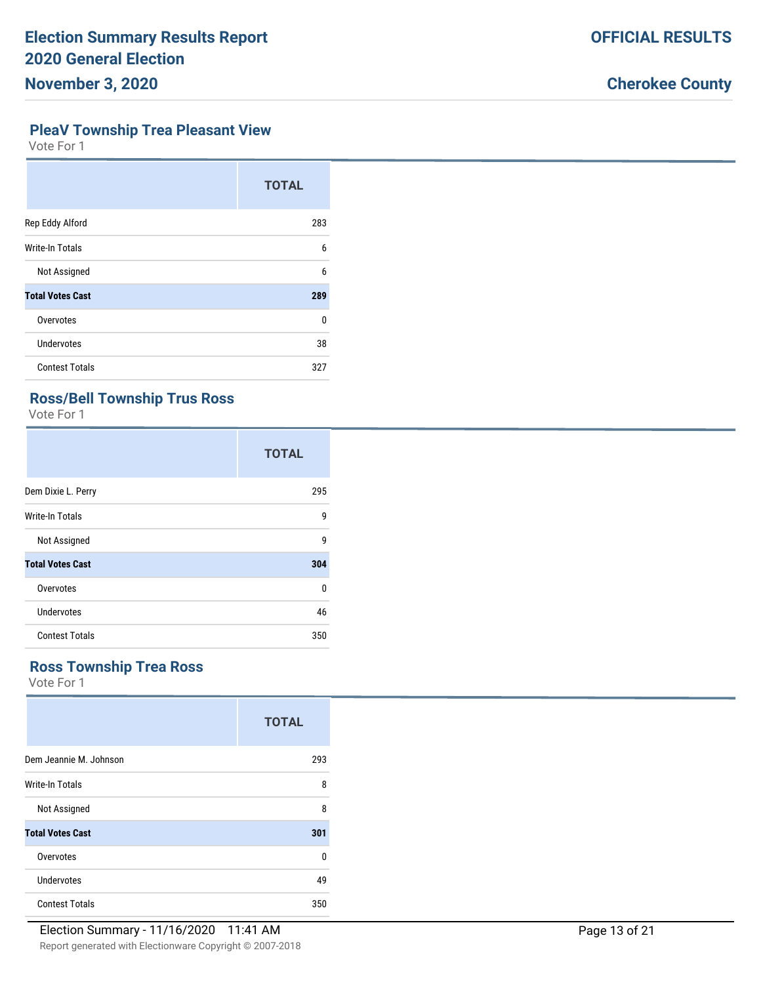#### **PleaV Township Trea Pleasant View**

Vote For 1

|                         | <b>TOTAL</b> |
|-------------------------|--------------|
| Rep Eddy Alford         | 283          |
| <b>Write-In Totals</b>  | 6            |
| Not Assigned            | 6            |
| <b>Total Votes Cast</b> | 289          |
| Overvotes               | U            |
| Undervotes              | 38           |
| <b>Contest Totals</b>   | 327          |

### **Ross/Bell Township Trus Ross**

Vote For 1

|                         | <b>TOTAL</b> |
|-------------------------|--------------|
| Dem Dixie L. Perry      | 295          |
| Write-In Totals         | 9            |
| Not Assigned            | 9            |
| <b>Total Votes Cast</b> | 304          |
| Overvotes               | U            |
| Undervotes              | 46           |
| <b>Contest Totals</b>   | 350          |

# **Ross Township Trea Ross**

|                         | <b>TOTAL</b> |
|-------------------------|--------------|
| Dem Jeannie M. Johnson  | 293          |
| Write-In Totals         | 8            |
| Not Assigned            | 8            |
| <b>Total Votes Cast</b> | 301          |
| Overvotes               | 0            |
| Undervotes              | 49           |
| <b>Contest Totals</b>   | 350          |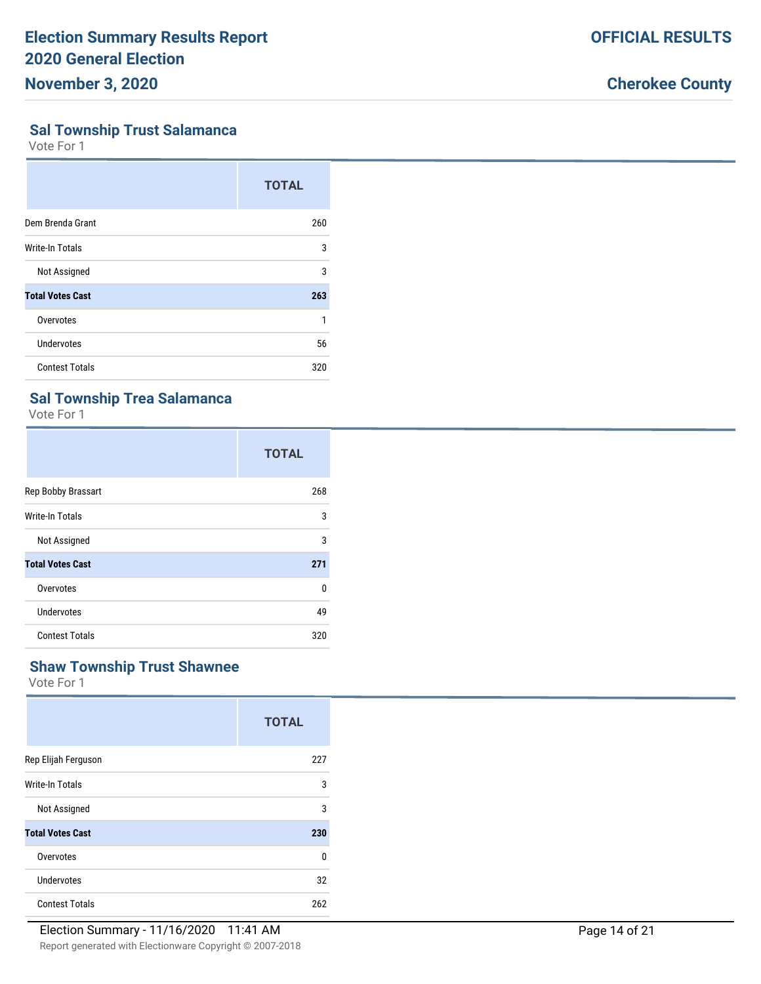#### **Sal Township Trust Salamanca**

Vote For 1

|                         | <b>TOTAL</b> |
|-------------------------|--------------|
| Dem Brenda Grant        | 260          |
| Write-In Totals         | 3            |
| Not Assigned            | 3            |
| <b>Total Votes Cast</b> | 263          |
| Overvotes               | 1            |
| Undervotes              | 56           |
| <b>Contest Totals</b>   | 320          |

### **Sal Township Trea Salamanca**

Vote For 1

|                         | <b>TOTAL</b> |
|-------------------------|--------------|
| Rep Bobby Brassart      | 268          |
| Write-In Totals         | 3            |
| Not Assigned            | 3            |
| <b>Total Votes Cast</b> | 271          |
| Overvotes               | U            |
| Undervotes              | 49           |
| <b>Contest Totals</b>   | 320          |

### **Shaw Township Trust Shawnee**

|                         | <b>TOTAL</b> |
|-------------------------|--------------|
| Rep Elijah Ferguson     | 227          |
| Write-In Totals         | 3            |
| Not Assigned            | 3            |
| <b>Total Votes Cast</b> | 230          |
| Overvotes               | $\Omega$     |
| Undervotes              | 32           |
| <b>Contest Totals</b>   | 262          |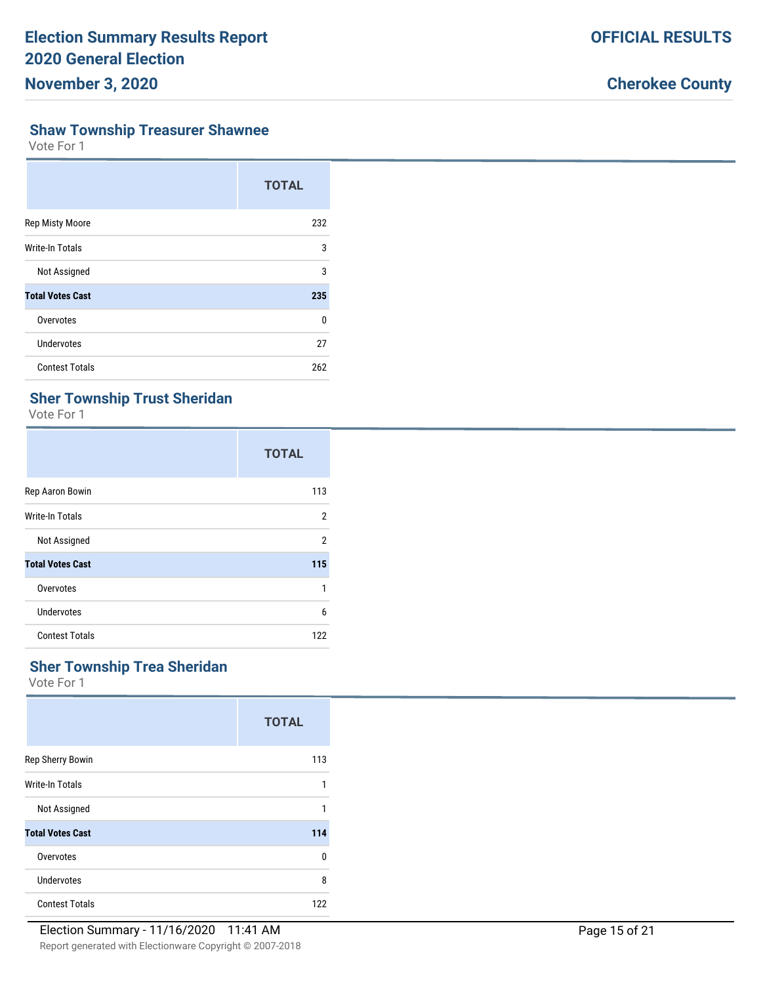# **Shaw Township Treasurer Shawnee**

Vote For 1

|                         | <b>TOTAL</b> |
|-------------------------|--------------|
| <b>Rep Misty Moore</b>  | 232          |
| Write-In Totals         | 3            |
| Not Assigned            | 3            |
| <b>Total Votes Cast</b> | 235          |
| Overvotes               | 0            |
| <b>Undervotes</b>       | 27           |
| <b>Contest Totals</b>   | 262          |

### **Sher Township Trust Sheridan**

Vote For 1

|                         | <b>TOTAL</b>   |
|-------------------------|----------------|
| Rep Aaron Bowin         | 113            |
| Write-In Totals         | 2              |
| Not Assigned            | $\overline{2}$ |
| <b>Total Votes Cast</b> | 115            |
| Overvotes               | 1              |
| Undervotes              | 6              |
| <b>Contest Totals</b>   | 122            |

### **Sher Township Trea Sheridan**

|                         | <b>TOTAL</b> |
|-------------------------|--------------|
| Rep Sherry Bowin        | 113          |
| Write-In Totals         | 1            |
| Not Assigned            | 1            |
| <b>Total Votes Cast</b> | 114          |
| Overvotes               | 0            |
| Undervotes              | 8            |
| <b>Contest Totals</b>   | 122          |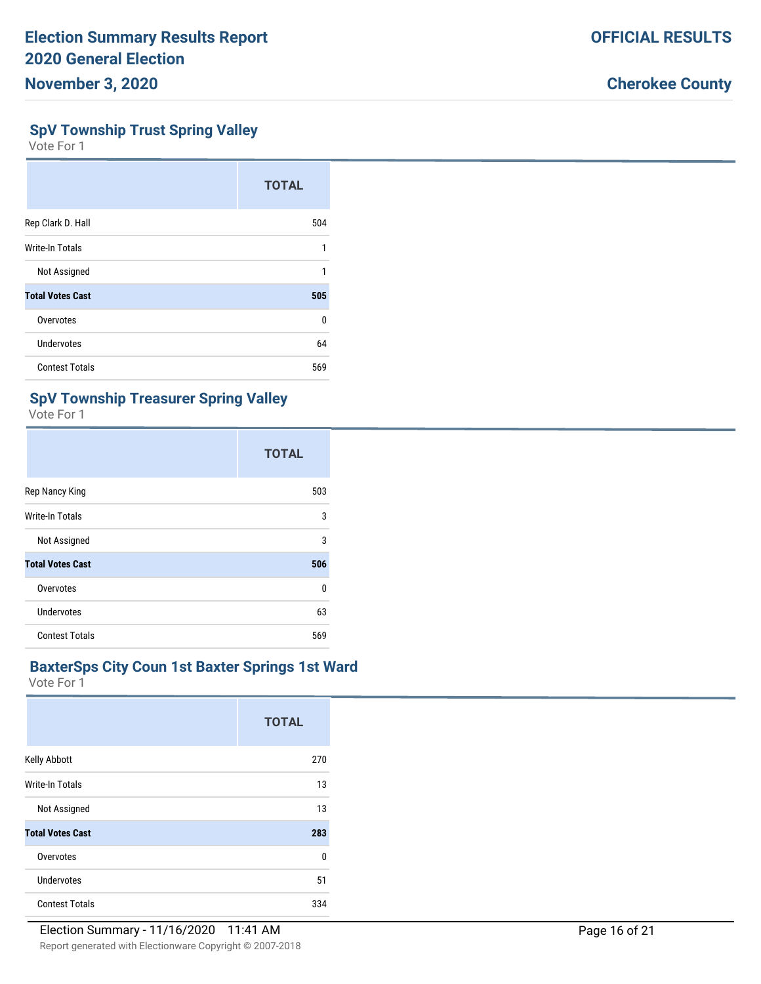#### **SpV Township Trust Spring Valley**

Vote For 1

|                         | <b>TOTAL</b> |
|-------------------------|--------------|
| Rep Clark D. Hall       | 504          |
| <b>Write-In Totals</b>  | 1            |
| Not Assigned            | 1            |
| <b>Total Votes Cast</b> | 505          |
| Overvotes               | $\Omega$     |
| Undervotes              | 64           |
| <b>Contest Totals</b>   | 569          |

### **SpV Township Treasurer Spring Valley**

Vote For 1

|                         | <b>TOTAL</b> |
|-------------------------|--------------|
| Rep Nancy King          | 503          |
| Write-In Totals         | 3            |
| Not Assigned            | 3            |
| <b>Total Votes Cast</b> | 506          |
| Overvotes               | 0            |
| Undervotes              | 63           |
| <b>Contest Totals</b>   | 569          |

#### **BaxterSps City Coun 1st Baxter Springs 1st Ward**

|                         | <b>TOTAL</b> |
|-------------------------|--------------|
| Kelly Abbott            | 270          |
| Write-In Totals         | 13           |
| Not Assigned            | 13           |
| <b>Total Votes Cast</b> | 283          |
| Overvotes               | 0            |
| Undervotes              | 51           |
| <b>Contest Totals</b>   | 334          |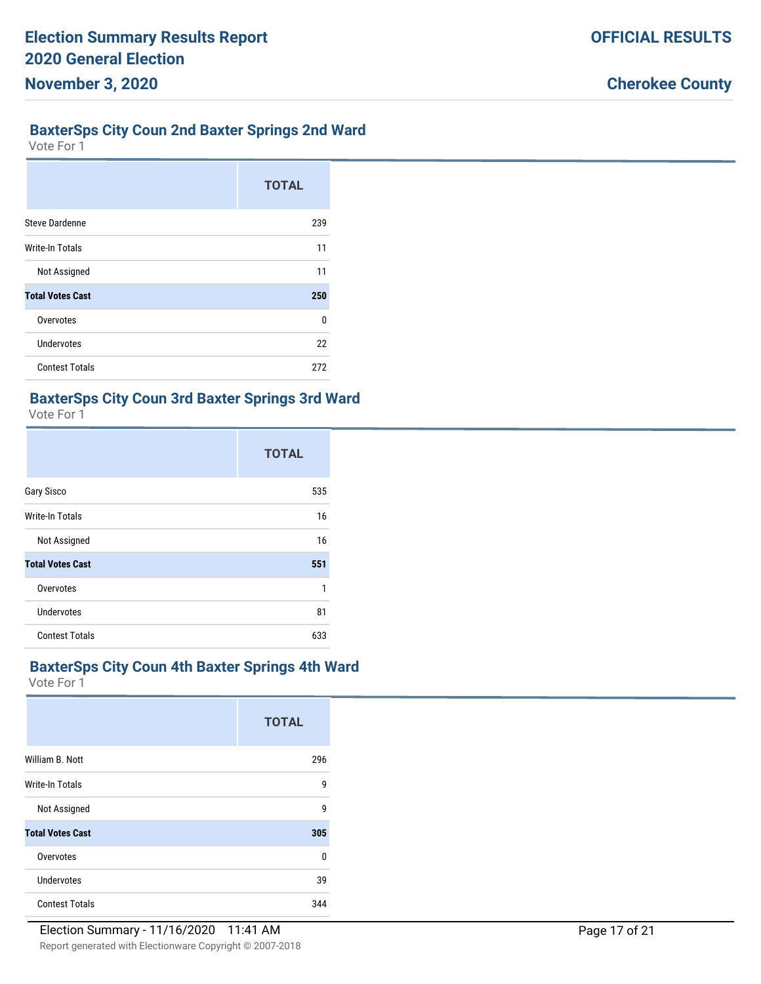# **BaxterSps City Coun 2nd Baxter Springs 2nd Ward**

Vote For 1

|                         | <b>TOTAL</b> |
|-------------------------|--------------|
| <b>Steve Dardenne</b>   | 239          |
| <b>Write-In Totals</b>  | 11           |
| Not Assigned            | 11           |
| <b>Total Votes Cast</b> | 250          |
| Overvotes               | U            |
| <b>Undervotes</b>       | 22           |
| <b>Contest Totals</b>   | 272          |

### **BaxterSps City Coun 3rd Baxter Springs 3rd Ward**

Vote For 1

|                         | <b>TOTAL</b> |
|-------------------------|--------------|
| Gary Sisco              | 535          |
| Write-In Totals         | 16           |
| Not Assigned            | 16           |
| <b>Total Votes Cast</b> | 551          |
| Overvotes               | 1            |
| <b>Undervotes</b>       | 81           |
| <b>Contest Totals</b>   | 633          |

#### **BaxterSps City Coun 4th Baxter Springs 4th Ward**

|                         | <b>TOTAL</b> |
|-------------------------|--------------|
| William B. Nott         | 296          |
| Write-In Totals         | 9            |
| Not Assigned            | 9            |
| <b>Total Votes Cast</b> | 305          |
| Overvotes               | 0            |
| Undervotes              | 39           |
| <b>Contest Totals</b>   | 344          |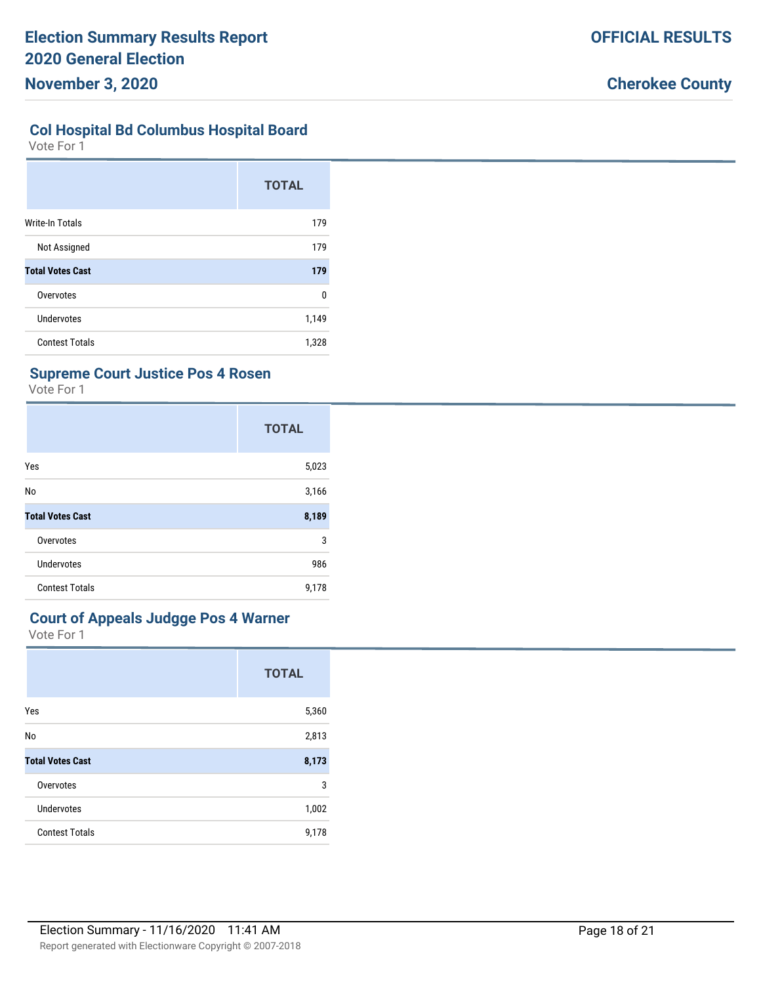### **Col Hospital Bd Columbus Hospital Board**

Vote For 1

|                         | <b>TOTAL</b> |
|-------------------------|--------------|
| <b>Write-In Totals</b>  | 179          |
| Not Assigned            | 179          |
| <b>Total Votes Cast</b> | 179          |
| Overvotes               | $\Omega$     |
| Undervotes              | 1,149        |
| <b>Contest Totals</b>   | 1,328        |

### **Supreme Court Justice Pos 4 Rosen**

Vote For 1

|                         | <b>TOTAL</b> |
|-------------------------|--------------|
| Yes                     | 5,023        |
| No                      | 3,166        |
| <b>Total Votes Cast</b> | 8,189        |
| Overvotes               | 3            |
| <b>Undervotes</b>       | 986          |
| <b>Contest Totals</b>   | 9,178        |

### **Court of Appeals Judgge Pos 4 Warner**

|                         | <b>TOTAL</b> |
|-------------------------|--------------|
| Yes                     | 5,360        |
| No                      | 2,813        |
| <b>Total Votes Cast</b> | 8,173        |
| Overvotes               | 3            |
| <b>Undervotes</b>       | 1,002        |
| <b>Contest Totals</b>   | 9,178        |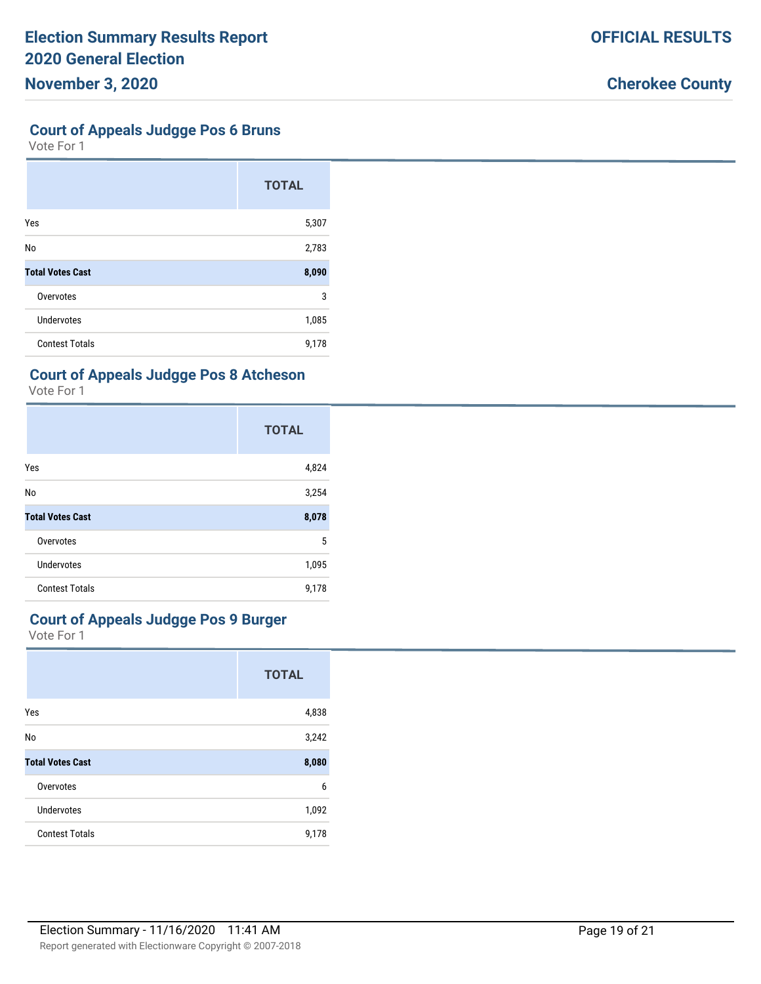#### **Court of Appeals Judgge Pos 6 Bruns**

Vote For 1

|                         | <b>TOTAL</b> |
|-------------------------|--------------|
| Yes                     | 5,307        |
| No                      | 2,783        |
| <b>Total Votes Cast</b> | 8,090        |
| Overvotes               | 3            |
| <b>Undervotes</b>       | 1,085        |
| <b>Contest Totals</b>   | 9,178        |

#### **Court of Appeals Judgge Pos 8 Atcheson**

Vote For 1

|                         | <b>TOTAL</b> |
|-------------------------|--------------|
| Yes                     | 4,824        |
| No                      | 3,254        |
| <b>Total Votes Cast</b> | 8,078        |
| Overvotes               | 5            |
| <b>Undervotes</b>       | 1,095        |
| <b>Contest Totals</b>   | 9,178        |

# **Court of Appeals Judgge Pos 9 Burger**

|                         | <b>TOTAL</b> |
|-------------------------|--------------|
| Yes                     | 4,838        |
| No                      | 3,242        |
| <b>Total Votes Cast</b> | 8,080        |
| Overvotes               | 6            |
| Undervotes              | 1,092        |
| <b>Contest Totals</b>   | 9,178        |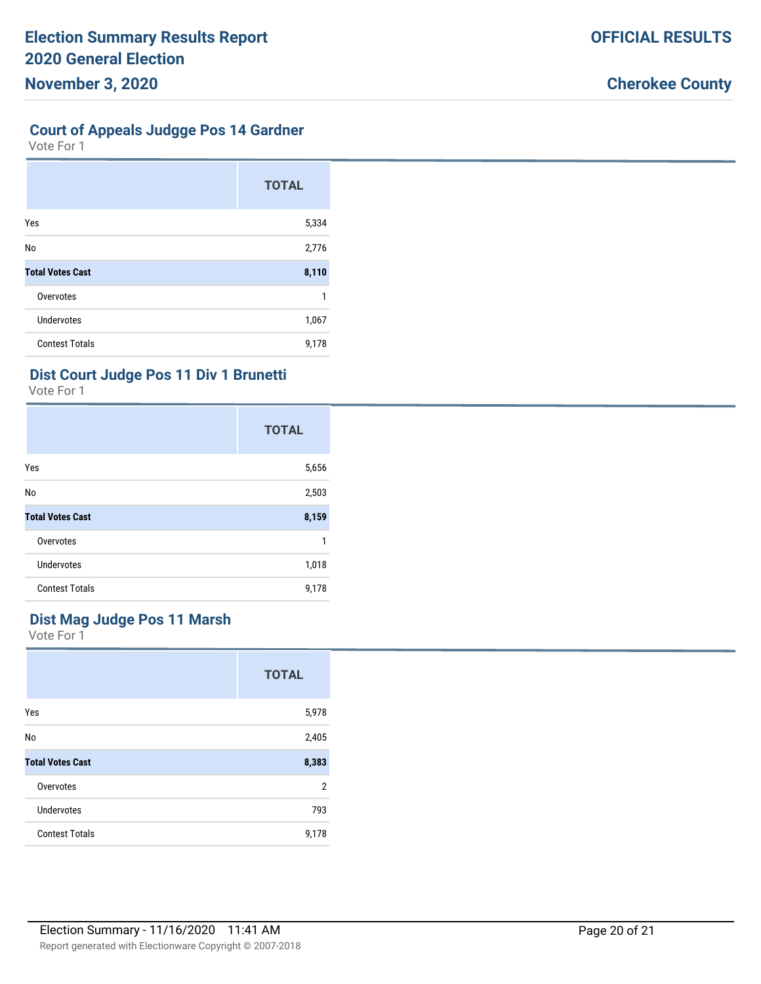# **Court of Appeals Judgge Pos 14 Gardner**

Vote For 1

|                         | <b>TOTAL</b> |
|-------------------------|--------------|
| Yes                     | 5,334        |
| No                      | 2,776        |
| <b>Total Votes Cast</b> | 8,110        |
| Overvotes               |              |
| <b>Undervotes</b>       | 1,067        |
| <b>Contest Totals</b>   | 9,178        |

#### **Dist Court Judge Pos 11 Div 1 Brunetti**

Vote For 1

|                         | <b>TOTAL</b> |
|-------------------------|--------------|
| Yes                     | 5,656        |
| No                      | 2,503        |
| <b>Total Votes Cast</b> | 8,159        |
| Overvotes               | 1            |
| <b>Undervotes</b>       | 1,018        |
| <b>Contest Totals</b>   | 9,178        |

### **Dist Mag Judge Pos 11 Marsh**

|                         | <b>TOTAL</b>   |
|-------------------------|----------------|
| Yes                     | 5,978          |
| No                      | 2,405          |
| <b>Total Votes Cast</b> | 8,383          |
| Overvotes               | $\overline{2}$ |
| Undervotes              | 793            |
| <b>Contest Totals</b>   | 9,178          |